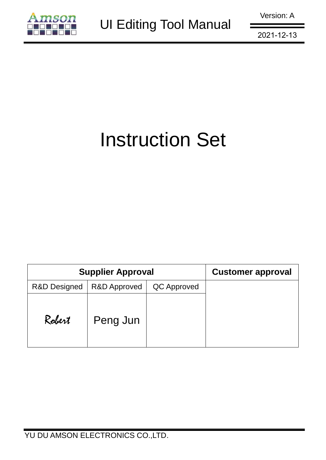

# Instruction Set

|                         | <b>Supplier Approval</b> | <b>Customer approval</b> |  |
|-------------------------|--------------------------|--------------------------|--|
| <b>R&amp;D Designed</b> | <b>R&amp;D Approved</b>  | QC Approved              |  |
| Robert                  | Peng Jun                 |                          |  |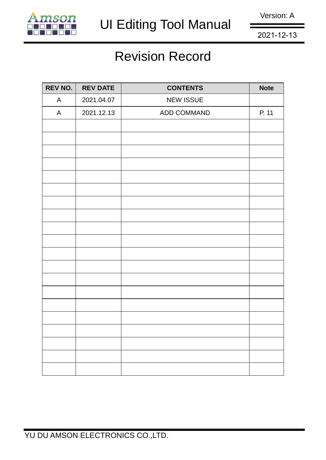

Version: A

2021-12-13

## Revision Record

| <b>REV NO.</b> | <b>REV DATE</b> | <b>CONTENTS</b>  | <b>Note</b> |
|----------------|-----------------|------------------|-------------|
| $\mathsf{A}$   | 2021.04.07      | <b>NEW ISSUE</b> |             |
| $\mathsf{A}$   | 2021.12.13      | ADD COMMAND      | P. 11       |
|                |                 |                  |             |
|                |                 |                  |             |
|                |                 |                  |             |
|                |                 |                  |             |
|                |                 |                  |             |
|                |                 |                  |             |
|                |                 |                  |             |
|                |                 |                  |             |
|                |                 |                  |             |
|                |                 |                  |             |
|                |                 |                  |             |
|                |                 |                  |             |
|                |                 |                  |             |
|                |                 |                  |             |
|                |                 |                  |             |
|                |                 |                  |             |
|                |                 |                  |             |
|                |                 |                  |             |
|                |                 |                  |             |
|                |                 |                  |             |
|                |                 |                  |             |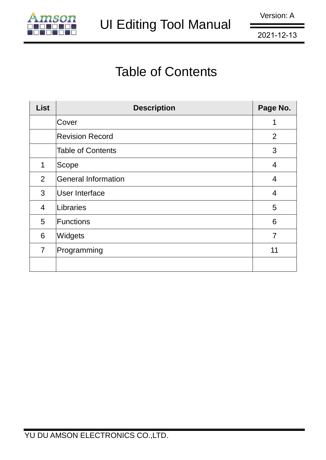

# Table of Contents

| <b>List</b>    | <b>Description</b>       | Page No.       |
|----------------|--------------------------|----------------|
|                | Cover                    |                |
|                | <b>Revision Record</b>   | 2              |
|                | <b>Table of Contents</b> | 3              |
| 1              | Scope                    | $\overline{4}$ |
| 2              | General Information      | 4              |
| 3              | User Interface           | 4              |
| $\overline{4}$ | Libraries                | 5              |
| 5              | <b>Functions</b>         | 6              |
| 6              | Widgets                  | $\overline{7}$ |
| $\overline{7}$ | Programming              | 11             |
|                |                          |                |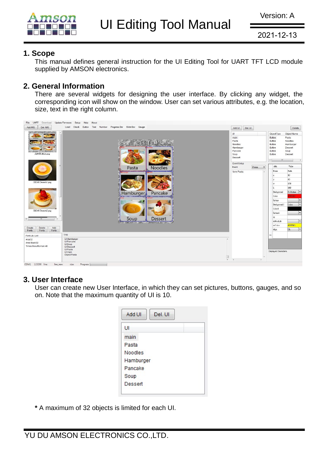

#### **1. Scope**

This manual defines general instruction for the UI Editing Tool for UART TFT LCD module supplied by AMSON electronics.

#### **2. General Information**

There are several widgets for designing the user interface. By clicking any widget, the corresponding icon will show on the window. User can set various attributes, e.g. the location, size, text in the right column.



#### **3. User Interface**

User can create new User Interface, in which they can set pictures, buttons, gauges, and so on. Note that the maximum quantity of UI is 10.

| Add UI<br>Del. UI |
|-------------------|
| UI                |
| main              |
| Pasta             |
| Noodles           |
| Hamburger         |
| Pancake           |
| Soup              |
| Dessert           |
|                   |

**\*** A maximum of 32 objects is limited for each UI.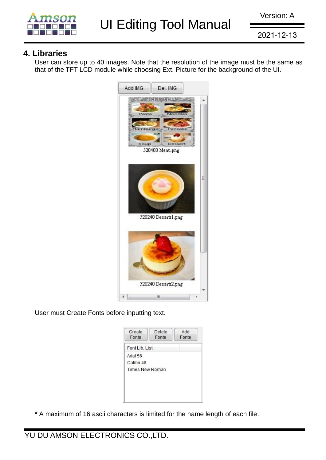

#### **4. Libraries**

User can store up to 40 images. Note that the resolution of the image must be the same as that of the TFT LCD module while choosing Ext. Picture for the background of the UI.



User must Create Fonts before inputting text.

| Fonts                  | Delete<br>Fonts | Add<br>Fonts |
|------------------------|-----------------|--------------|
| Font Lib. List         |                 |              |
| Arial 56               |                 |              |
| Calibri 48             |                 |              |
| <b>Times New Roman</b> |                 |              |

**\*** A maximum of 16 ascii characters is limited for the name length of each file.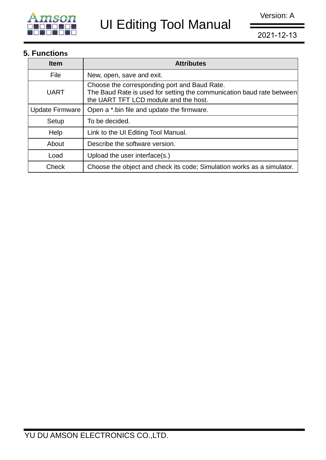

### **5. Functions**

| <b>Item</b>            | <b>Attributes</b>                                                                                                                                              |
|------------------------|----------------------------------------------------------------------------------------------------------------------------------------------------------------|
| File                   | New, open, save and exit.                                                                                                                                      |
| <b>UART</b>            | Choose the corresponding port and Baud Rate.<br>The Baud Rate is used for setting the communication baud rate between<br>the UART TFT LCD module and the host. |
| <b>Update Firmware</b> | Open a *.bin file and update the firmware.                                                                                                                     |
| Setup                  | To be decided.                                                                                                                                                 |
| Help                   | Link to the UI Editing Tool Manual.                                                                                                                            |
| About                  | Describe the software version.                                                                                                                                 |
| Load                   | Upload the user interface(s.)                                                                                                                                  |
| Check                  | Choose the object and check its code; Simulation works as a simulator.                                                                                         |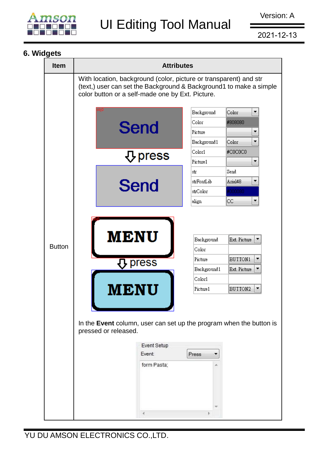

2021-12-13

### **6. Widgets**

| <b>Item</b>   | <b>Attributes</b>                                                                                                                                                                                                                                        |   |  |  |  |  |  |  |  |
|---------------|----------------------------------------------------------------------------------------------------------------------------------------------------------------------------------------------------------------------------------------------------------|---|--|--|--|--|--|--|--|
|               | With location, background (color, picture or transparent) and str<br>(text,) user can set the Background & Background1 to make a simple<br>color button or a self-made one by Ext. Picture.                                                              |   |  |  |  |  |  |  |  |
|               | Color<br>Background                                                                                                                                                                                                                                      | ▼ |  |  |  |  |  |  |  |
|               | Color<br>#808080                                                                                                                                                                                                                                         |   |  |  |  |  |  |  |  |
|               | Send<br>Picture                                                                                                                                                                                                                                          | ▼ |  |  |  |  |  |  |  |
|               | Background1<br>Color                                                                                                                                                                                                                                     | ▼ |  |  |  |  |  |  |  |
|               | Color1<br>#C0C0C0<br>$\operatorname{\mathsf{Q}}$ press                                                                                                                                                                                                   |   |  |  |  |  |  |  |  |
|               | Picture1                                                                                                                                                                                                                                                 | ▼ |  |  |  |  |  |  |  |
|               | Send<br>str                                                                                                                                                                                                                                              |   |  |  |  |  |  |  |  |
|               | 8klarA<br>strFontLib<br>Send                                                                                                                                                                                                                             | ▼ |  |  |  |  |  |  |  |
|               | 0000080<br>strColor                                                                                                                                                                                                                                      |   |  |  |  |  |  |  |  |
|               | CC.<br>align                                                                                                                                                                                                                                             |   |  |  |  |  |  |  |  |
| <b>Button</b> | <b>MENU</b><br>Background<br>Ext. Picture<br>Color<br>BUTTON1<br>Picture<br>press<br>Background1<br>Ext. Picture<br>Color1<br>tenu<br>BUTTON2<br>Picture1<br>In the Event column, user can set up the program when the button is<br>pressed or released. |   |  |  |  |  |  |  |  |
|               | Event Setup<br>Event:<br>Press<br>form Pasta;                                                                                                                                                                                                            |   |  |  |  |  |  |  |  |
|               |                                                                                                                                                                                                                                                          |   |  |  |  |  |  |  |  |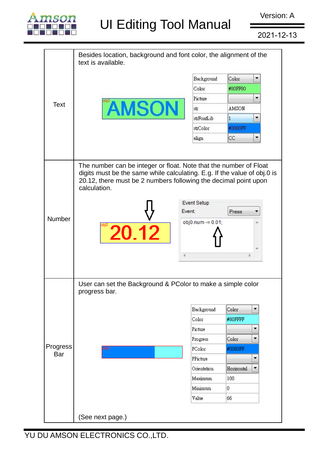

Version: A

2021-12-13

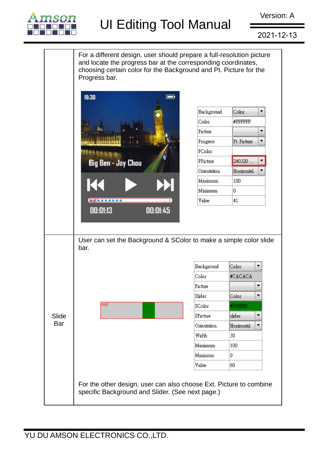

2021-12-13

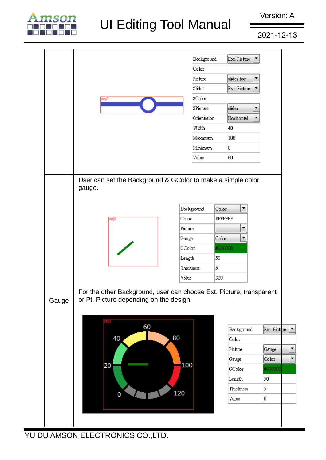

2021-12-13

|       |                                                                                                                |      |    |     | Background  |          | Ext. Picture<br>▼ |              |  |
|-------|----------------------------------------------------------------------------------------------------------------|------|----|-----|-------------|----------|-------------------|--------------|--|
|       |                                                                                                                |      |    |     | Color       |          |                   |              |  |
|       |                                                                                                                |      |    |     | Picture     |          | slider bar<br>▼   |              |  |
|       |                                                                                                                |      |    |     | Slider      |          | Ext. Picture<br>▼ |              |  |
|       | obj0                                                                                                           |      |    |     | SColor      |          |                   |              |  |
|       |                                                                                                                |      |    |     | SPicture    | slider   | ▼                 |              |  |
|       |                                                                                                                |      |    |     | Orientation |          | Horizontal<br>▼   |              |  |
|       |                                                                                                                |      |    |     | Width       | 40       |                   |              |  |
|       |                                                                                                                |      |    |     | Maximum     | 100      |                   |              |  |
|       |                                                                                                                |      |    |     | Minimum     | O.       |                   |              |  |
|       |                                                                                                                |      |    |     | Value       | 60       |                   |              |  |
|       |                                                                                                                | obj0 |    |     | Color       | #FFFFFFF |                   |              |  |
|       |                                                                                                                |      |    |     |             |          |                   |              |  |
|       |                                                                                                                |      |    |     | Background  | Color    | ۰                 |              |  |
|       |                                                                                                                |      |    |     | Picture     |          | ۰                 |              |  |
|       |                                                                                                                |      |    |     |             |          |                   |              |  |
|       |                                                                                                                |      |    |     |             |          | ۰                 |              |  |
|       |                                                                                                                |      |    |     | Gauge       | Color    |                   |              |  |
|       |                                                                                                                |      |    |     | GColor      | #008000  |                   |              |  |
|       |                                                                                                                |      |    |     | Length      | 50       |                   |              |  |
|       |                                                                                                                |      |    |     | Thickness   | 5        |                   |              |  |
|       |                                                                                                                |      |    |     | Value       | 320      |                   |              |  |
| Gauge | For the other Background, user can choose Ext. Picture, transparent<br>or Pt. Picture depending on the design. |      | 60 |     |             |          | Background        | Ext. Picture |  |
|       |                                                                                                                | 40   |    | 80  |             | Color    |                   |              |  |
|       |                                                                                                                |      |    |     |             | Picture  |                   | Gauge        |  |
|       |                                                                                                                |      |    |     |             | Gauge    |                   | Color        |  |
|       | 20                                                                                                             |      |    |     | 100         | GColor   |                   | #008000      |  |
|       |                                                                                                                |      |    |     |             | Length   |                   | 50           |  |
|       |                                                                                                                | 0    |    | 120 |             |          | Thickness         | 5            |  |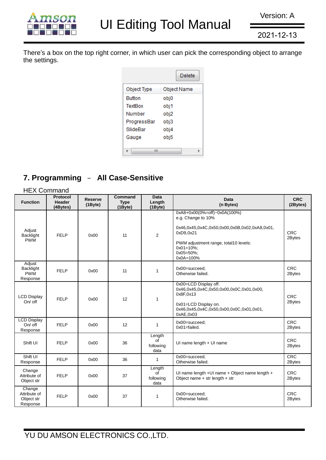

There's a box on the top right corner, in which user can pick the corresponding object to arrange the settings.

|               | Delete      |
|---------------|-------------|
| Object Type   | Object Name |
| <b>Button</b> | obj0        |
| TextBox       | obj1        |
| Number        | obj2        |
| ProgressBar   | obj3        |
| SlideBar      | obj4        |
| Gauge         | obj5        |
|               |             |
| ш             |             |

### **7. Programming** – **All Case-Sensitive**

| <b>HEX Command</b>                               |                                              |                           |                               |                                   |                                                                                                                                                                                                          |                        |  |
|--------------------------------------------------|----------------------------------------------|---------------------------|-------------------------------|-----------------------------------|----------------------------------------------------------------------------------------------------------------------------------------------------------------------------------------------------------|------------------------|--|
| <b>Function</b>                                  | <b>Protocol</b><br><b>Header</b><br>(4Bytes) | <b>Reserve</b><br>(1Byte) | Command<br><b>Type</b><br>(1) | <b>Data</b><br>Length<br>(1Byte)  | <b>Data</b><br>(n Bytes)                                                                                                                                                                                 | <b>CRC</b><br>(2Bytes) |  |
| Adjust<br>Backlight<br><b>PWM</b>                | FELP                                         | 0x00                      | 11                            | $\overline{2}$                    | 0xA8+0x00(0%=off)~0x0A(100%)<br>e.g. Change to 10%<br>0x46,0x45,0x4C,0x50,0x00,0x0B,0x02,0xA8,0x01,<br>0xD9.0x21<br>PWM adjustment range, total10 levels:<br>$0x01=10\%$ ;<br>$0x05=50\%$ ;<br>0x0A=100% | <b>CRC</b><br>2Bytes   |  |
| Adjust<br>Backlight<br><b>PWM</b><br>Response    | <b>FELP</b>                                  | 0x00                      | 11                            | 1                                 | 0x00=succeed:<br>Otherwise failed.                                                                                                                                                                       | <b>CRC</b><br>2Bytes   |  |
| <b>LCD Display</b><br>$On/$ off                  | <b>FELP</b>                                  | 0x00                      | 12                            | 1                                 | 0x00=LCD Display off.<br>0x46,0x45,0x4C,0x50,0x00,0x0C,0x01,0x00,<br>0x8F,0x13<br>0x01=LCD Display on.<br>0x46,0x45,0x4C,0x50,0x00,0x0C,0x01,0x01,<br>0xAE,0x03                                          | <b>CRC</b><br>2Bytes   |  |
| <b>LCD Display</b><br>On/ off<br>Response        | <b>FELP</b>                                  | 0x00                      | 12                            | $\mathbf{1}$                      | 0x00=succeed;<br>$0x01 =$ failed.                                                                                                                                                                        | <b>CRC</b><br>2Bytes   |  |
| Shift UI                                         | <b>FELP</b>                                  | 0x00                      | 36                            | Length<br>of<br>following<br>data | UI name length + UI name                                                                                                                                                                                 | <b>CRC</b><br>2Bytes   |  |
| Shift UI<br>Response                             | <b>FELP</b>                                  | 0x00                      | 36                            | 1                                 | $0x00 = succeed$ :<br>Otherwise failed.                                                                                                                                                                  | <b>CRC</b><br>2Bytes   |  |
| Change<br>Attribute of<br>Object str             | <b>FELP</b>                                  | 0x00                      | 37                            | Length<br>of<br>following<br>data | UI name length +UI name + Object name length +<br>Object name $+$ str length $+$ str                                                                                                                     | <b>CRC</b><br>2Bytes   |  |
| Change<br>Attribute of<br>Object str<br>Response | <b>FELP</b>                                  | 0x00                      | 37                            | 1                                 | 0x00=succeed;<br>Otherwise failed.                                                                                                                                                                       | <b>CRC</b><br>2Bytes   |  |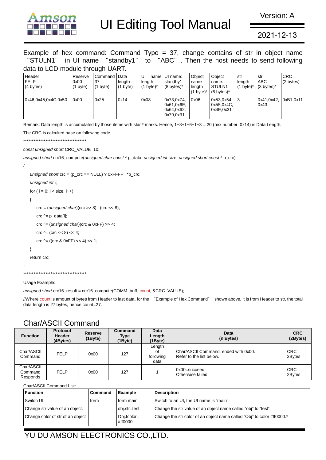

Version: A

2021-12-13

Example of hex command: Command Type  $= 37$ , change contains of str in object name "STULN1" in UI name "standby1" to "ABC". Then the host needs to send following data to LCD module through UART.

| Header<br><b>FELP</b><br>(4 bytes) | Reserve<br>0x00<br>$(1 \text{ byte})$ | Command<br>37<br>(1 byte) | Data<br>lenath<br>$(1 \text{ byte})$ | UI<br>lenath<br>$(1 \text{ byte})^*$ | name UI name:<br>standby1<br>$(8 \text{ bytes})^*$  | Obiect<br>name<br>lenath<br>byte)* | Object<br>name:<br>STULN <sub>1</sub><br>$(6 \text{ bytes})^*$ | str<br>lenath<br>$(1 \text{ byte})^*$ | str:<br>ABC<br>$(3 \text{ bytes})^*$ | <b>CRC</b><br>$(2 \text{ bytes})$ |
|------------------------------------|---------------------------------------|---------------------------|--------------------------------------|--------------------------------------|-----------------------------------------------------|------------------------------------|----------------------------------------------------------------|---------------------------------------|--------------------------------------|-----------------------------------|
| 0x46.0x45.0x4C.0x50                | 0x00                                  | 0x25                      | 0x14                                 | 0x08                                 | 0x73,0x74,<br>0x61,0x6E,<br>0x64,0x62,<br>0x79,0x31 | 0x06                               | 0x53.0x54.<br>0x55.0x4C.<br>0x4E.0x31                          | 3                                     | 0x41.0x42.<br>0x43                   | 0xB1.0x11                         |

Remark: Data length is accumulated by those items with star \* marks. Hence, 1+8+1+6+1+3 = 20 (hex number: 0x14) is Data Length.

The CRC is calculted base on following code

\*\*\*\*\*\*\*\*\*\*\*\*\*\*\*\*\*\*\*\*\*\*\*\*\*\*\*\*\*\*\*\*\*\*\*\*\*

*const unsigned short* CRC\_VALUE=10;

*unsigned short* crc16\_compute(*unsigned char const* \* p\_data, *unsigned int* size, *unsigned short const* \* p\_crc)

```
{
```

```
 unsigned short crc = (p_crc == NULL) ? 0xFFFF : *p_crc;
```
*unsigned int* i;

for (  $i = 0$ ;  $i <$  size;  $i++$ )

{

```
 crc = (unsigned char)(crc >> 8) | (crc << 8);
```
 $\text{crc} \wedge = \text{p\_data[i]}$ ;

crc ^= (*unsigned char*)(crc & 0xFF) >> 4;

 $\text{crc} \wedge = (\text{crc} << 8) << 4;$ 

crc  $\text{Ar} = ((\text{crc } 8 \text{ 0xFF}) < 4) < 1;$ 

```
 }
```
return crc;

```
}
```
\*\*\*\*\*\*\*\*\*\*\*\*\*\*\*\*\*\*\*\*\*\*\*\*\*\*\*\*\*\*\*\*\*\*\*\*\*

Usage Example:

*unsigned short* crc16\_result = crc16\_compute(COMM\_buff, count, &CRC\_VALUE);

//Where count is amount of bytes from Header to last data, for the "Example of Hex Command" shown above, it is from Header to str, the total data length is 27 bytes, hence count=27.

| <u>UNUM IUUN UUNINIU</u>          |                                              |                                 |                                  |                                   |                                                                  |                        |  |  |
|-----------------------------------|----------------------------------------------|---------------------------------|----------------------------------|-----------------------------------|------------------------------------------------------------------|------------------------|--|--|
| <b>Function</b>                   | <b>Protocol</b><br><b>Header</b><br>(4Bvtes) | <b>Reserve</b><br>$(1$ Byte $)$ | Command<br>Type<br>$(1$ Byte $)$ | Data<br>Length<br>$(1$ Byte $)$   | Data<br>(n Bytes)                                                | <b>CRC</b><br>(2Bytes) |  |  |
| Char/ASCII<br>Command             | FELP                                         | 0x00                            | 127                              | Length<br>οf<br>following<br>data | Char/ASCII Command, ended with 0x00.<br>Refer to the list below. | <b>CRC</b><br>2Bytes   |  |  |
| Char/ASCII<br>Command<br>Responds | <b>FELP</b>                                  | 0x00                            | 127                              |                                   | $0x00 = succeed$ ;<br>Otherwise failed.                          | <b>CRC</b><br>2Bytes   |  |  |

#### Char/ASCII Command

Char/ASCII Command List:

| <b>Function</b>                  | Command | Example                  | <b>Description</b>                                                     |
|----------------------------------|---------|--------------------------|------------------------------------------------------------------------|
| Switch UI                        | form    | form main                | Switch to an UI, the UI name is "main"                                 |
| Change str value of an object.   |         | obj.str=test             | Change the str value of an object name called "obj" to "test".         |
| Change color of str of an object |         | $Obj.fcolor=$<br>#ff0000 | Change the str color of an object name called "Obj" to color #ff0000.* |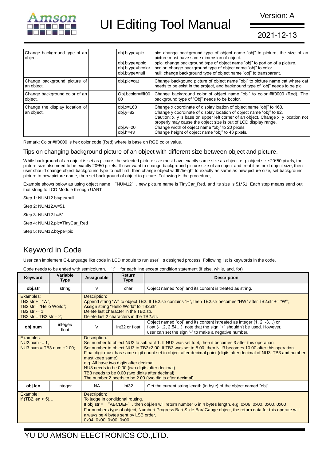

2021-12-13

| Change background type of an<br>object.      | obj.btype=pic<br>obj.btype=ppic<br>obj.btype=bcolor<br>obj.btype=null | pic: change background type of object name "obj" to picture, the size of an<br>picture must have same dimension of object.<br>ppic: change background type of object name "obj" to portion of a picture.<br>bcolor: change background type of object name "obj" to color.<br>null: change background type of object name "obj" to transparent.                                                            |
|----------------------------------------------|-----------------------------------------------------------------------|-----------------------------------------------------------------------------------------------------------------------------------------------------------------------------------------------------------------------------------------------------------------------------------------------------------------------------------------------------------------------------------------------------------|
| Change background picture of<br>an object.   | obj.pic=cat                                                           | Change backgound picture of object name "obj" to picture name cat where cat<br>needs to be exist in the project, and backgound type of "obj" needs to be pic.                                                                                                                                                                                                                                             |
| Change background color of an<br>object.     | Obj.bcolor=#ff00<br>00                                                | Change background color of object name "obj" to color #ff0000 (Red). The<br>background type of "Obj" needs to be bcolor.                                                                                                                                                                                                                                                                                  |
| Change the display location of<br>an object. | $obj.x=160$<br>obj.y=82<br>obj.w=20<br>$obj.h=43$                     | Change x coordinate of display loation of object name "obj" to 160.<br>Change y coordinate of display location of object name "obj" to 82.<br>Caution: x, y is base on upper left corner of an object. Change x, y location not<br>properly may cause the object size is out of LCD display range.<br>Change width of object name "obj" to 20 pixels.<br>Change height of object name "obj" to 43 pixels. |

Remark: Color #ff0000 is hex color code (Red) where is base on RGB color value.

#### Tips on changing background picture of an object with different size between object and picture.

While background of an object is set as picture, the selected picture size must have exactly same size as object. e.g. object size:20\*50 pixels, the picture size also need to be exactly 20\*50 pixels. If user want to change background picture size of an object and treat it as next object size, then user should change object background type to null first, then change object width/height to exactly as same as new picture size, set background picture to new picture name, then set background of object to picture. Following is the procedure,

Example shows below as using object name "NUM12", new picture name is TinyCar\_Red, and its size is 51\*51. Each step means send out that string to LCD Module through UART.

Step 1: NUM12.btype=null

Step 2: NUM12.w=51

Step 3: NUM12.h=51

Step 4: NUM12.pic=TinyCar\_Red

Step 5: NUM12.btype=pic

#### Keyword in Code

User can implement C-Language like code in LCD module to run user's designed process. Following list is keywords in the code.

Code needs to be ended with semicolumn, ";" for each line except condition statement (if else, while, and, for)

| Keyword                                                                                                       | Variable<br><b>Type</b> | Assignable                                                                                                                                                                                                                                                                                                                                                                                                                                                                                                                                                                                  | Return<br><b>Type</b> | <b>Description</b>                                                                                                                                                                                      |  |
|---------------------------------------------------------------------------------------------------------------|-------------------------|---------------------------------------------------------------------------------------------------------------------------------------------------------------------------------------------------------------------------------------------------------------------------------------------------------------------------------------------------------------------------------------------------------------------------------------------------------------------------------------------------------------------------------------------------------------------------------------------|-----------------------|---------------------------------------------------------------------------------------------------------------------------------------------------------------------------------------------------------|--|
| obj.str                                                                                                       | string                  | V                                                                                                                                                                                                                                                                                                                                                                                                                                                                                                                                                                                           | char                  | Object named "obj" and its content is treated as string.                                                                                                                                                |  |
| Examples:<br>TB2.str += " $W$ ";<br>$TB2.str = "Hello World";$<br>TB2.str = $1$ :<br>TB2.str = TB2.str $-2$ ; |                         | Description:<br>Append string "W" to object TB2. If TB2.str contains "H", then TB2.str becomes "HW" after TB2.str += "W";<br>Assign string "Hello World" to TB2.str.<br>Delete last character in the TB2.str.<br>Delete last 2 characters in the TB2.str.                                                                                                                                                                                                                                                                                                                                   |                       |                                                                                                                                                                                                         |  |
| obj.num                                                                                                       | integer/<br>float       | $\vee$                                                                                                                                                                                                                                                                                                                                                                                                                                                                                                                                                                                      | int32 or float        | Object named "obj" and its content istreated as integer (1, 2, -3) or<br>float (-1.2, 2.54), note that the sign "+" shouldn't be used. However,<br>user can set the sign "-" to make a negative number. |  |
| Examples:<br>$NU2num = 1$ :<br>$NU3.num = TB3.num +2.00:$                                                     |                         | Description:<br>Set number to object NU2 to subtract 1. If NU2 was set to 4, then it becomes 3 after this operation.<br>Set number to object NU3 to TB3+2.00. If TB3 was set to 8.00, then NU3 becomes 10.00 after this operation.<br>Float digit must has same digit count set in object after decimal point (digits after decimal of NU3, TB3 and number<br>must keep same).<br>e.g. All have two digits after decimal.<br>NU3 needs to be 0.00 (two digits after decimal)<br>TB3 needs to be 0.00 (two digits after decimal)<br>The number 2 needs to be 2.00 (two digits after decimal) |                       |                                                                                                                                                                                                         |  |
| obj.len                                                                                                       | integer                 | <b>NA</b>                                                                                                                                                                                                                                                                                                                                                                                                                                                                                                                                                                                   | int32                 | Get the current string length (in byte) of the object named "obj".                                                                                                                                      |  |
| Example:<br>if $(TB2!\text{len} > 5)$                                                                         |                         | Description:<br>To judge in conditional routing.<br>If obj.str = "ABCDEF", then obj.len will return number 6 in 4 bytes length. e.g. $0x06$ , $0x00$ , $0x00$ , $0x00$<br>For numbers type of object, Number/ Progress Bar/ Slide Bar/ Gauge object, the return data for this operate will<br>always be 4 bytes sent by LSB order,<br>0x04, 0x00, 0x00, 0x00                                                                                                                                                                                                                                |                       |                                                                                                                                                                                                         |  |